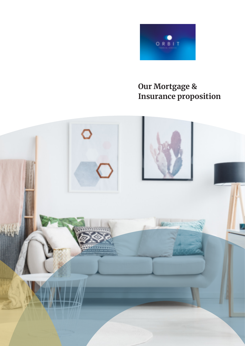

# **Our Mortgage & Insurance proposition**

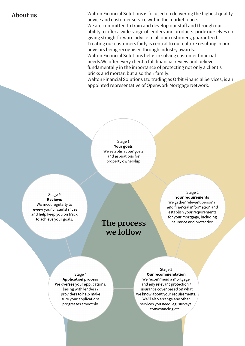**About us** subsequent walton Financial Solutions is focused on delivering the highest quality advice and customer service within the market place. We are committed to train and develop our staff and through our ability to offer a wide range of lenders and products, pride ourselves on giving straightforward advice to all our customers, guaranteed. Treating our customers fairly is central to our culture resulting in our advisors being recognised through industry awards. Walton Financial Solutions helps in solving customer financial needs. We offer every client a full financial review and believe fundamentally in the importance of protecting not only a client's bricks and mortar, but also their family.

> Walton Financial Solutions Ltd trading as Orbit Financial Services, is an appointed representative of Openwork Mortgage Network.

> > Stage 1 Your goals We establish your goals and aspirations for property ownership

Stage 5 **Reviews** We meet regularly to review your circumstances and help keep you on track to achieve your goals.

# The process we follow

### Stage 2 Your requirements

We gather relevant personal and financial information and establish your requirements for your mortgage, including insurance and protection.

Stage 4 **Application process** We oversee your applications, liasing with lenders / providers to help make sure your applications progresses smoothly.

Stage 3 Our recommendation We recommend a mortgage

and any relevant protection / insurance cover based on what we know about your requirements. We'll also arrange any other services you need, eg. surveys, conveyancing etc...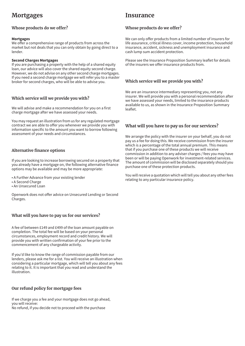# **Mortgages see Insurance**

# **Whose products do we offer?**

### **Mortgages**

We offer a comprehensive range of products from across the market but not deals that you can only obtain by going direct to a lender.

### **Second Charges Mortgages**

If you are purchasing a property with the help of a shared equity loan, our advice will also cover the shared equity second charge. However, we do not advise on any other second charge mortgages. If you need a second charge mortgage we will refer you to a master broker for second charges, who will be able to advise you.

# Which service will we provide you with?

We will advise and make a recommendation for you on a first charge mortgage after we have assessed your needs.

You may request an illustration from us for any regulated mortgage contract we are able to offer you whenever we provide you with information specific to the amount you want to borrow following assessment of your needs and circumstances.

## **Alternative finance options**

If you are looking to increase borrowing secured on a property that you already have a mortgage on, the following alternative finance options may be available and may be more appropriate:

- A Further Advance from your existing lender
- A Second Charge
- An Unsecured Loan

Openwork does not offer advice on Unsecured Lending or Second Charges.

# **What will you have to pay us for our services?**

A fee of between £149 and £499 of the loan amount payable on completion. The total fee will be based on your personal circumstances, employment record and credit history. We will provide you with written confirmation of your fee prior to the commencement of any chargeable activity.

If you'd like to know the range of commission payable from our lenders, please ask me for a list. You will receive an illustration when considering a particular mortgage, which will tell you about any fees relating to it. It is important that you read and understand the illustration.

# **Our refund policy for mortgage fees**

If we charge you a fee and your mortgage does not go ahead, vou will receive: No refund, if you decide not to proceed with the purchase

# **Whose products do we offer?**

We can only offer products from a limited number of insurers for life assurance, critical illness cover, income protection, household insurance, accident, sickness and unemployment insurance and cash lump sum accident protection.

Please see the Insurance Proposition Summary leaflet for details of the insurers we offer insurance products from.

# **Which service will we provide you with?**

We are an insurance intermediary representing you, not any insurer. We will provide you with a personal recommendation after we have assessed your needs, limited to the insurance products available to us, as shown in the Insurance Proposition Summary leaflet

# **What will you have to pay us for our services?**

We arrange the policy with the insurer on your behalf, you do not pay us a fee for doing this. We receive commission from the insurer which is a percentage of the total annual premium. This means that if you purchase one of these products we will receive commission in addition to any adviser charges / fees you may have been or will be paying Openwork for investment-related services. The amount of commission will be disclosed separately should you purchase one of these protection products.

You will receive a quotation which will tell you about any other fees relating to any particular insurance policy.